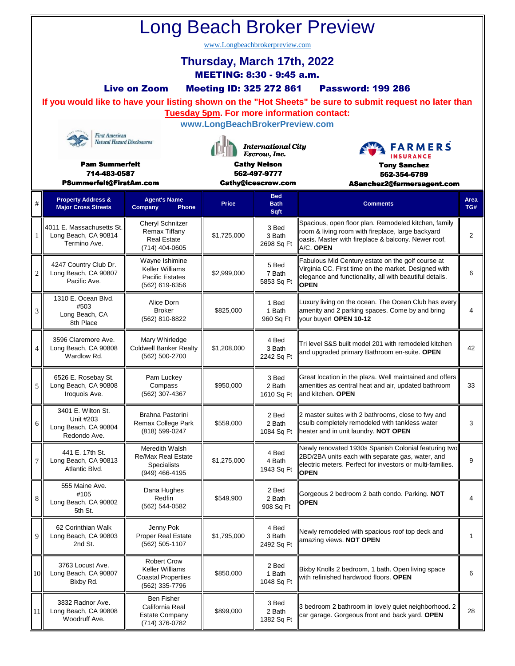| <b>Long Beach Broker Preview</b>                                                                                               |                                                                                                                                                               |                                                                                             |                                                                                                        |                               |                                                                                                                                                                                      |    |   |                               |                                             |              |                           |                                                      |      |
|--------------------------------------------------------------------------------------------------------------------------------|---------------------------------------------------------------------------------------------------------------------------------------------------------------|---------------------------------------------------------------------------------------------|--------------------------------------------------------------------------------------------------------|-------------------------------|--------------------------------------------------------------------------------------------------------------------------------------------------------------------------------------|----|---|-------------------------------|---------------------------------------------|--------------|---------------------------|------------------------------------------------------|------|
| www.Longbeachbrokerpreview.com                                                                                                 |                                                                                                                                                               |                                                                                             |                                                                                                        |                               |                                                                                                                                                                                      |    |   |                               |                                             |              |                           |                                                      |      |
| Thursday, March 17th, 2022<br>MEETING: 8:30 - 9:45 a.m.                                                                        |                                                                                                                                                               |                                                                                             |                                                                                                        |                               |                                                                                                                                                                                      |    |   |                               |                                             |              |                           |                                                      |      |
| <b>Meeting ID: 325 272 861</b><br><b>Live on Zoom</b><br><b>Password: 199 286</b>                                              |                                                                                                                                                               |                                                                                             |                                                                                                        |                               |                                                                                                                                                                                      |    |   |                               |                                             |              |                           |                                                      |      |
|                                                                                                                                | If you would like to have your listing shown on the "Hot Sheets" be sure to submit request no later than<br><b>Tuesday 5pm. For more information contact:</b> |                                                                                             |                                                                                                        |                               |                                                                                                                                                                                      |    |   |                               |                                             |              |                           |                                                      |      |
|                                                                                                                                | www.LongBeachBrokerPreview.com                                                                                                                                |                                                                                             |                                                                                                        |                               |                                                                                                                                                                                      |    |   |                               |                                             |              |                           |                                                      |      |
| <b>First American</b><br><b>Natural Hazard Disclosures</b><br><b>Pam Summerfelt</b><br>714-483-0587<br>PSummerfelt@FirstAm.com |                                                                                                                                                               |                                                                                             | <b>International City</b><br>Escrow, Inc.<br><b>Cathy Nelson</b><br>562-497-9777<br>Cathy@icescrow.com |                               | <b>FARMERS</b><br><b>INSURANCE</b><br><b>Tony Sanchez</b><br>562-354-6789<br>ASanchez2@farmersagent.com                                                                              |    |   |                               |                                             |              |                           |                                                      |      |
|                                                                                                                                |                                                                                                                                                               |                                                                                             |                                                                                                        |                               |                                                                                                                                                                                      |    | # | <b>Property Address &amp;</b> | <b>Agent's Name</b>                         | <b>Price</b> | <b>Bed</b><br><b>Bath</b> | <b>Comments</b>                                      | Area |
|                                                                                                                                |                                                                                                                                                               |                                                                                             |                                                                                                        |                               |                                                                                                                                                                                      |    |   | <b>Major Cross Streets</b>    | Company<br>Phone<br><b>Cheryl Schnitzer</b> |              | Sqft                      | Spacious, open floor plan. Remodeled kitchen, family | TG#  |
| 1                                                                                                                              | 4011 E. Massachusetts St.<br>Long Beach, CA 90814<br>Termino Ave.                                                                                             | Remax Tiffany<br><b>Real Estate</b><br>(714) 404-0605                                       | \$1,725,000                                                                                            | 3 Bed<br>3 Bath<br>2698 Sq Ft | room & living room with fireplace, large backyard<br>oasis. Master with fireplace & balcony. Newer roof,<br>A/C. OPEN                                                                | 2  |   |                               |                                             |              |                           |                                                      |      |
| $\overline{c}$                                                                                                                 | 4247 Country Club Dr.<br>Long Beach, CA 90807<br>Pacific Ave.                                                                                                 | Wayne Ishimine<br><b>Keller Williams</b><br>Pacific Estates<br>(562) 619-6356               | \$2,999,000                                                                                            | 5 Bed<br>7 Bath<br>5853 Sq Ft | Fabulous Mid Century estate on the golf course at<br>Virginia CC. First time on the market. Designed with<br>elegance and functionality, all with beautiful details.<br><b>OPEN</b>  | 6  |   |                               |                                             |              |                           |                                                      |      |
| 3                                                                                                                              | 1310 E. Ocean Blvd.<br>#503<br>Long Beach, CA<br>8th Place                                                                                                    | Alice Dorn<br><b>Broker</b><br>(562) 810-8822                                               | \$825,000                                                                                              | 1 Bed<br>1 Bath<br>960 Sq Ft  | Luxury living on the ocean. The Ocean Club has every<br>amenity and 2 parking spaces. Come by and bring<br>your buyer! OPEN 10-12                                                    | 4  |   |                               |                                             |              |                           |                                                      |      |
| 4                                                                                                                              | 3596 Claremore Ave.<br>Long Beach, CA 90808<br>Wardlow Rd.                                                                                                    | Mary Whirledge<br><b>Coldwell Banker Realty</b><br>(562) 500-2700                           | \$1,208,000                                                                                            | 4 Bed<br>3 Bath<br>2242 Sq Ft | Tri level S&S built model 201 with remodeled kitchen<br>and upgraded primary Bathroom en-suite. OPEN                                                                                 | 42 |   |                               |                                             |              |                           |                                                      |      |
| 5                                                                                                                              | 6526 E. Rosebay St.<br>Long Beach, CA 90808<br>Iroquois Ave.                                                                                                  | Pam Luckey<br>Compass<br>(562) 307-4367                                                     | \$950,000                                                                                              | 3 Bed<br>2 Bath<br>1610 Sq Ft | Great location in the plaza. Well maintained and offers<br>amenities as central heat and air, updated bathroom<br>and kitchen. OPEN                                                  | 33 |   |                               |                                             |              |                           |                                                      |      |
| 6                                                                                                                              | 3401 E. Wilton St.<br>Unit #203<br>Long Beach, CA 90804<br>Redondo Ave.                                                                                       | Brahna Pastorini<br>Remax College Park<br>(818) 599-0247                                    | \$559,000                                                                                              | 2 Bed<br>2 Bath<br>1084 Sq Ft | 2 master suites with 2 bathrooms, close to fwy and<br>csulb completely remodeled with tankless water<br>heater and in unit laundry. NOT OPEN                                         | 3  |   |                               |                                             |              |                           |                                                      |      |
| 7                                                                                                                              | 441 E. 17th St.<br>Long Beach, CA 90813<br>Atlantic Blvd.                                                                                                     | Meredith Walsh<br><b>Re/Max Real Estate</b><br><b>Specialists</b><br>(949) 466-4195         | \$1,275,000                                                                                            | 4 Bed<br>4 Bath<br>1943 Sq Ft | Newly renovated 1930s Spanish Colonial featuring two<br>2BD/2BA units each with separate gas, water, and<br>electric meters. Perfect for investors or multi-families.<br><b>OPEN</b> | 9  |   |                               |                                             |              |                           |                                                      |      |
| 8                                                                                                                              | 555 Maine Ave.<br>#105<br>Long Beach, CA 90802<br>5th St.                                                                                                     | Dana Hughes<br>Redfin<br>(562) 544-0582                                                     | \$549,900                                                                                              | 2 Bed<br>2 Bath<br>908 Sq Ft  | Gorgeous 2 bedroom 2 bath condo. Parking. NOT<br><b>OPEN</b>                                                                                                                         | 4  |   |                               |                                             |              |                           |                                                      |      |
| 9                                                                                                                              | 62 Corinthian Walk<br>Long Beach, CA 90803<br>2nd St.                                                                                                         | Jenny Pok<br><b>Proper Real Estate</b><br>(562) 505-1107                                    | \$1,795,000                                                                                            | 4 Bed<br>3 Bath<br>2492 Sq Ft | Newly remodeled with spacious roof top deck and<br>amazing views. NOT OPEN                                                                                                           | 1  |   |                               |                                             |              |                           |                                                      |      |
| 10                                                                                                                             | 3763 Locust Ave.<br>Long Beach, CA 90807<br>Bixby Rd.                                                                                                         | <b>Robert Crow</b><br><b>Keller Williams</b><br><b>Coastal Properties</b><br>(562) 335-7796 | \$850,000                                                                                              | 2 Bed<br>1 Bath<br>1048 Sq Ft | Bixby Knolls 2 bedroom, 1 bath. Open living space<br>with refinished hardwood floors. OPEN                                                                                           | 6  |   |                               |                                             |              |                           |                                                      |      |
| 11                                                                                                                             | 3832 Radnor Ave.<br>Long Beach, CA 90808<br>Woodruff Ave.                                                                                                     | Ben Fisher<br>California Real<br><b>Estate Company</b><br>(714) 376-0782                    | \$899,000                                                                                              | 3 Bed<br>2 Bath<br>1382 Sq Ft | 3 bedroom 2 bathroom in lovely quiet neighborhood. 2<br>car garage. Gorgeous front and back yard. OPEN                                                                               | 28 |   |                               |                                             |              |                           |                                                      |      |